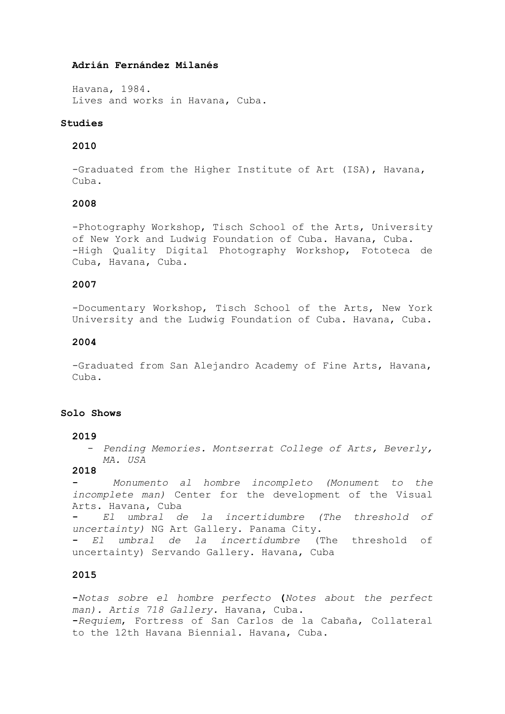### **Adrián Fernández Milanés**

Havana, 1984. Lives and works in Havana, Cuba.

#### **Studies**

## **2010**

-Graduated from the Higher Institute of Art (ISA), Havana, Cuba.

## **2008**

-Photography Workshop, Tisch School of the Arts, University of New York and Ludwig Foundation of Cuba. Havana, Cuba. -High Quality Digital Photography Workshop, Fototeca de Cuba, Havana, Cuba.

### **2007**

-Documentary Workshop, Tisch School of the Arts, New York University and the Ludwig Foundation of Cuba. Havana, Cuba.

### **2004**

-Graduated from San Alejandro Academy of Fine Arts, Havana, Cuba.

## **Solo Shows**

#### **2019**

- *Pending Memories. Montserrat College of Arts, Beverly, MA. USA*

#### **2018**

**-** *Monumento al hombre incompleto (Monument to the incomplete man)* Center for the development of the Visual Arts. Havana, Cuba **-** *El umbral de la incertidumbre (The threshold of uncertainty)* NG Art Gallery. Panama City. **-** *El umbral de la incertidumbre* (The threshold of uncertainty) Servando Gallery. Havana, Cuba

# **2015**

**-***Notas sobre el hombre perfecto* **(***Notes about the perfect man). Artis 718 Gallery.* Havana, Cuba. **-***Requiem*, Fortress of San Carlos de la Cabaña, Collateral to the 12th Havana Biennial. Havana, Cuba.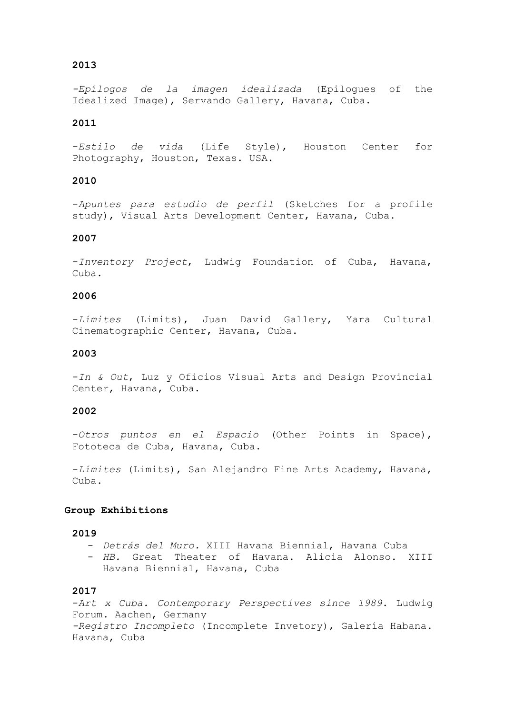# **2013**

*-Epílogos de la imagen idealizada* (Epilogues of the Idealized Image), Servando Gallery, Havana, Cuba.

## **2011**

-*Estilo de vida* (Life Style), Houston Center for Photography, Houston, Texas. USA.

# **2010**

-*Apuntes para estudio de perfil* (Sketches for a profile study), Visual Arts Development Center, Havana, Cuba.

### **2007**

-*Inventory Project*, Ludwig Foundation of Cuba, Havana, Cuba.

## **2006**

-*Límites* (Limits), Juan David Gallery, Yara Cultural Cinematographic Center, Havana, Cuba.

### **2003**

-*In & Out*, Luz y Oficios Visual Arts and Design Provincial Center, Havana, Cuba.

### **2002**

-*Otros puntos en el Espacio* (Other Points in Space), Fototeca de Cuba, Havana, Cuba.

-*Límites* (Limits), San Alejandro Fine Arts Academy, Havana, Cuba.

#### **Group Exhibitions**

#### **2019**

- *Detrás del Muro.* XIII Havana Biennial, Havana Cuba

- *HB.* Great Theater of Havana. Alicia Alonso. XIII Havana Biennial, Havana, Cuba

### **2017**

-*Art x Cuba. Contemporary Perspectives since 1989*. Ludwig Forum. Aachen, Germany *-Registro Incompleto* (Incomplete Invetory), Galería Habana. Havana, Cuba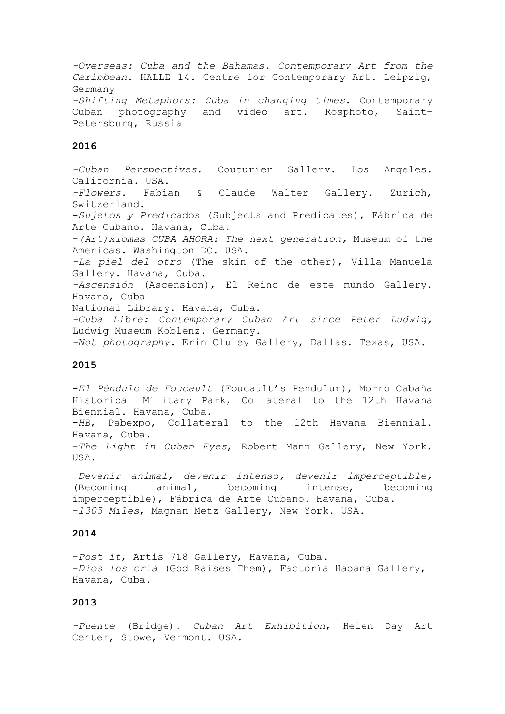*-Overseas: Cuba and the Bahamas. Contemporary Art from the Caribbean*. HALLE 14. Centre for Contemporary Art. Leipzig, Germany *-Shifting Metaphors: Cuba in changing times*. Contemporary Cuban photography and video art. Rosphoto, Saint-Petersburg, Russia

# **2016**

*-Cuban Perspectives*. Couturier Gallery. Los Angeles. California. USA. *-Flowers.* Fabian & Claude Walter Gallery. Zurich, Switzerland. **-***Sujetos y Predic*ados (Subjects and Predicates), Fábrica de Arte Cubano. Havana, Cuba. -*(Art)xiomas CUBA AHORA: The next generation,* Museum of the Americas. Washington DC. USA. *-La piel del otro* (The skin of the other), Villa Manuela Gallery. Havana, Cuba. *-Ascensión* (Ascension), El Reino de este mundo Gallery. Havana, Cuba National Library. Havana, Cuba. *-Cuba Libre: Contemporary Cuban Art since Peter Ludwig,* Ludwig Museum Koblenz. Germany. *-Not photography.* Erin Cluley Gallery, Dallas. Texas, USA.

#### **2015**

**-***El Péndulo de Foucault* (Foucault's Pendulum), Morro Cabaña Historical Military Park, Collateral to the 12th Havana Biennial. Havana, Cuba. **-***HB*, Pabexpo, Collateral to the 12th Havana Biennial.

Havana, Cuba.

-*The Light in Cuban Eyes*, Robert Mann Gallery, New York. USA.

*-Devenir animal, devenir intenso, devenir imperceptible,* (Becoming animal, becoming intense, becoming imperceptible), Fábrica de Arte Cubano. Havana, Cuba. -*1305 Miles*, Magnan Metz Gallery, New York. USA.

## **2014**

-*Post it*, Artis 718 Gallery, Havana, Cuba. -*Dios los cría* (God Raises Them), Factoría Habana Gallery, Havana, Cuba.

### **2013**

*-Puente* (Bridge). *Cuban Art Exhibition*, Helen Day Art Center, Stowe, Vermont. USA.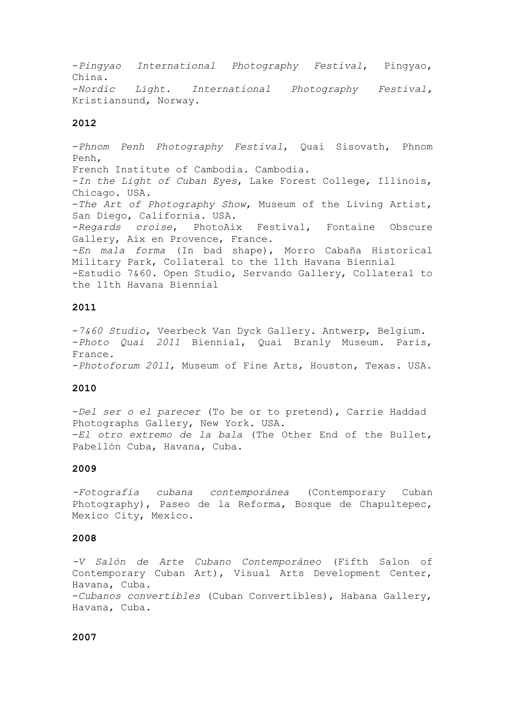-*Pingyao International Photography Festival*, Pingyao, China. -*Nordic Light. International Photography Festival,* Kristiansund, Norway.

#### **2012**

-*Phnom Penh Photography Festival*, Quai Sisovath, Phnom Penh, French Institute of Cambodia. Cambodia. -*In the Light of Cuban Eyes*, Lake Forest College, Illinois, Chicago. USA. -*The Art of Photography Show*, Museum of the Living Artist, San Diego, California. USA. -*Regards croise*, PhotoAix Festival, Fontaine Obscure Gallery, Aix en Provence, France. -*En mala forma* (In bad shape), Morro Cabaña Historical Military Park, Collateral to the 11th Havana Biennial -Estudio 7&60. Open Studio, Servando Gallery, Collateral to the 11th Havana Biennial

# **2011**

-*7&60 Studio*, Veerbeck Van Dyck Gallery. Antwerp, Belgium. -*Photo Quai 2011* Biennial, Quai Branly Museum. Paris, France. -*Photoforum 2011*, Museum of Fine Arts, Houston, Texas. USA.

### **2010**

-*Del ser o el parecer* (To be or to pretend), Carrie Haddad Photographs Gallery, New York. USA. -*El otro extremo de la bala* (The Other End of the Bullet, Pabellón Cuba, Havana, Cuba.

## **2009**

*-Fotografía cubana contemporánea* (Contemporary Cuban Photography), Paseo de la Reforma, Bosque de Chapultepec, Mexico City, Mexico.

### **2008**

*-V Salón de Arte Cubano Contemporáneo* (Fifth Salon of Contemporary Cuban Art), Visual Arts Development Center, Havana, Cuba. -*Cubanos convertibles* (Cuban Convertibles), Habana Gallery, Havana, Cuba.

## **2007**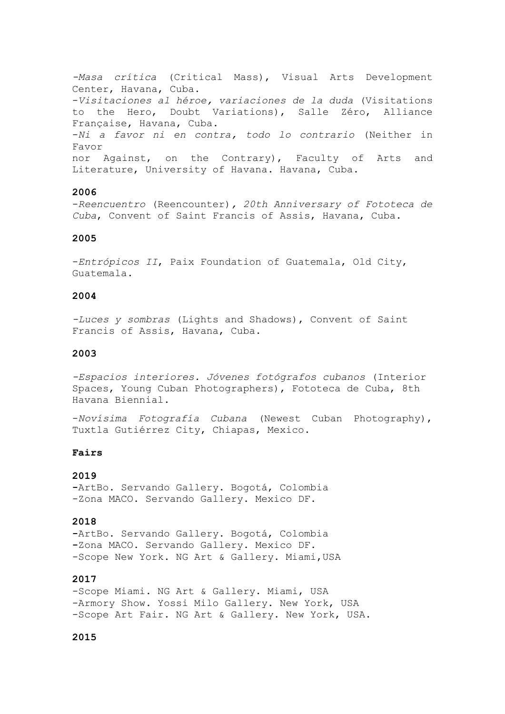*-Masa crítica* (Critical Mass), Visual Arts Development Center, Havana, Cuba. -*Visitaciones al héroe, variaciones de la duda* (Visitations to the Hero, Doubt Variations), Salle Zéro, Alliance Française, Havana, Cuba. -*Ni a favor ni en contra, todo lo contrario* (Neither in Favor nor Against, on the Contrary), Faculty of Arts and Literature, University of Havana. Havana, Cuba.

### **2006**

-*Reencuentro* (Reencounter)*, 20th Anniversary of Fototeca de Cuba*, Convent of Saint Francis of Assis, Havana, Cuba.

### **2005**

-*Entrópicos II*, Paix Foundation of Guatemala, Old City, Guatemala.

## **2004**

*-Luces y sombras* (Lights and Shadows), Convent of Saint Francis of Assis, Havana, Cuba.

### **2003**

*-Espacios interiores. Jóvenes fotógrafos cubanos* (Interior Spaces, Young Cuban Photographers), Fototeca de Cuba, 8th Havana Biennial.

-*Novísima Fotografía Cubana* (Newest Cuban Photography), Tuxtla Gutiérrez City, Chiapas, Mexico.

### **Fairs**

## **2019**

**-**ArtBo. Servando Gallery. Bogotá, Colombia -Zona MACO. Servando Gallery. Mexico DF.

#### **2018**

**-**ArtBo. Servando Gallery. Bogotá, Colombia **-**Zona MACO**.** Servando Gallery. Mexico DF. -Scope New York. NG Art & Gallery. Miami, USA

# **2017**

-Scope Miami. NG Art & Gallery. Miami, USA -Armory Show. Yossi Milo Gallery. New York, USA -Scope Art Fair. NG Art & Gallery. New York, USA.

### **2015**